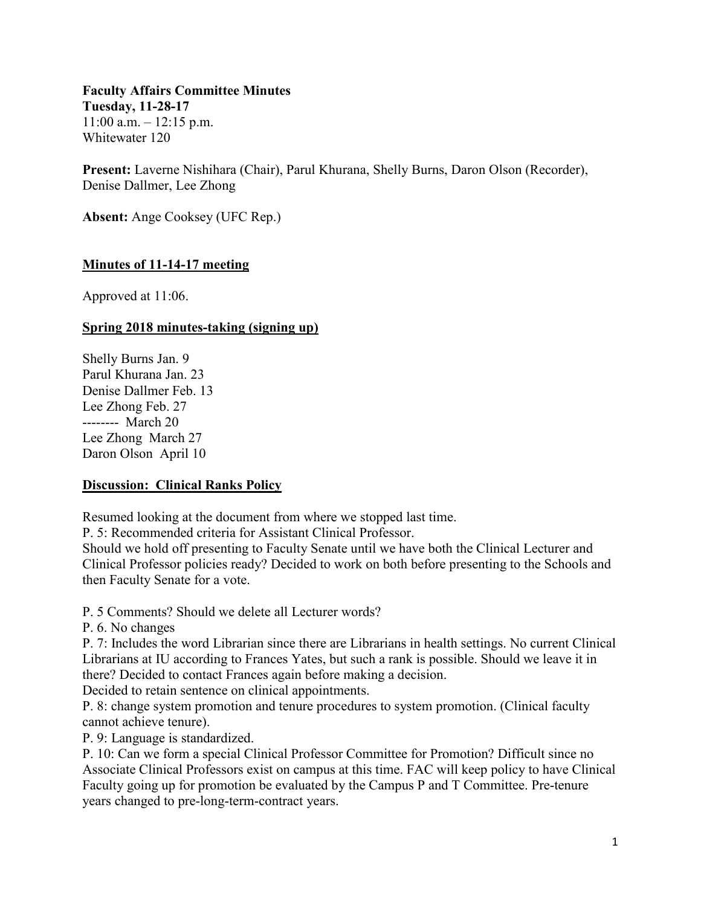**Faculty Affairs Committee Minutes Tuesday, 11-28-17**  $11:00$  a.m.  $-12:15$  p.m. Whitewater 120

**Present:** Laverne Nishihara (Chair), Parul Khurana, Shelly Burns, Daron Olson (Recorder), Denise Dallmer, Lee Zhong

**Absent:** Ange Cooksey (UFC Rep.)

### **Minutes of 11-14-17 meeting**

Approved at 11:06.

#### **Spring 2018 minutes-taking (signing up)**

Shelly Burns Jan. 9 Parul Khurana Jan. 23 Denise Dallmer Feb. 13 Lee Zhong Feb. 27 -------- March 20 Lee Zhong March 27 Daron Olson April 10

#### **Discussion: Clinical Ranks Policy**

Resumed looking at the document from where we stopped last time.

P. 5: Recommended criteria for Assistant Clinical Professor.

Should we hold off presenting to Faculty Senate until we have both the Clinical Lecturer and Clinical Professor policies ready? Decided to work on both before presenting to the Schools and then Faculty Senate for a vote.

P. 5 Comments? Should we delete all Lecturer words?

P. 6. No changes

P. 7: Includes the word Librarian since there are Librarians in health settings. No current Clinical Librarians at IU according to Frances Yates, but such a rank is possible. Should we leave it in there? Decided to contact Frances again before making a decision.

Decided to retain sentence on clinical appointments.

P. 8: change system promotion and tenure procedures to system promotion. (Clinical faculty cannot achieve tenure).

P. 9: Language is standardized.

P. 10: Can we form a special Clinical Professor Committee for Promotion? Difficult since no Associate Clinical Professors exist on campus at this time. FAC will keep policy to have Clinical Faculty going up for promotion be evaluated by the Campus P and T Committee. Pre-tenure years changed to pre-long-term-contract years.